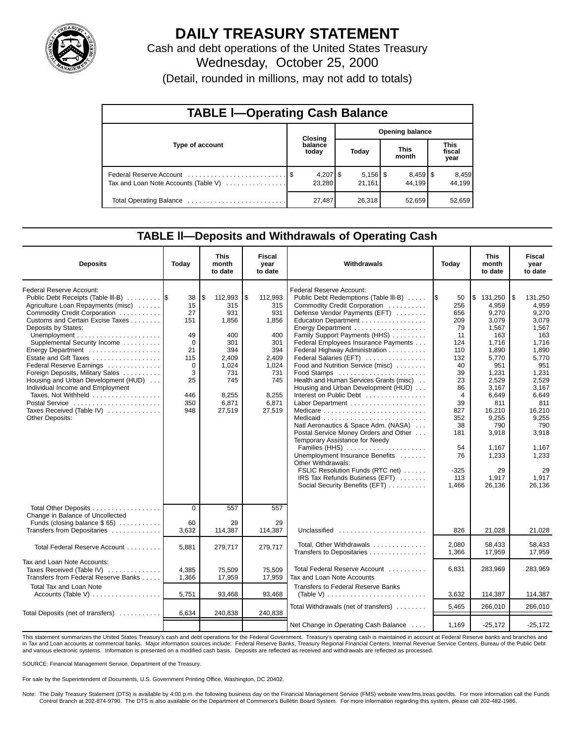

# **DAILY TREASURY STATEMENT**

Cash and debt operations of the United States Treasury Wednesday, October 25, 2000

(Detail, rounded in millions, may not add to totals)

| <b>TABLE I-Operating Cash Balance</b> |  |                      |                        |                      |  |                                 |  |                               |  |  |
|---------------------------------------|--|----------------------|------------------------|----------------------|--|---------------------------------|--|-------------------------------|--|--|
|                                       |  | Closing              | <b>Opening balance</b> |                      |  |                                 |  |                               |  |  |
| Type of account                       |  | balance<br>today     |                        | Today                |  | <b>This</b><br>month            |  | <b>This</b><br>fiscal<br>year |  |  |
| Tax and Loan Note Accounts (Table V)  |  | $4,207$ \$<br>23,280 |                        | $5,156$ \$<br>21.161 |  | $8,459$ $\frac{8}{3}$<br>44.199 |  | 8,459<br>44.199               |  |  |
| Total Operating Balance               |  | 27,487               |                        | 26,318               |  | 52,659                          |  | 52,659                        |  |  |

### **TABLE ll—Deposits and Withdrawals of Operating Cash**

| <b>Deposits</b>                                                                                                                                                                                                                                                                                                                                                                                                                                                                                                   | Today                                                                                     | <b>This</b><br>month<br>to date                                                                                       | Fiscal<br>vear<br>to date                                                                                            | Withdrawals                                                                                                                                                                                                                                                                                                                                                                                                                                                                                                                                                                                                                                                                                                                                                             | Today                                                                                                                                                               | <b>This</b><br>month<br>to date                                                                                                                                                                                 | Fiscal<br>year<br>to date                                                                                                                                                                                             |
|-------------------------------------------------------------------------------------------------------------------------------------------------------------------------------------------------------------------------------------------------------------------------------------------------------------------------------------------------------------------------------------------------------------------------------------------------------------------------------------------------------------------|-------------------------------------------------------------------------------------------|-----------------------------------------------------------------------------------------------------------------------|----------------------------------------------------------------------------------------------------------------------|-------------------------------------------------------------------------------------------------------------------------------------------------------------------------------------------------------------------------------------------------------------------------------------------------------------------------------------------------------------------------------------------------------------------------------------------------------------------------------------------------------------------------------------------------------------------------------------------------------------------------------------------------------------------------------------------------------------------------------------------------------------------------|---------------------------------------------------------------------------------------------------------------------------------------------------------------------|-----------------------------------------------------------------------------------------------------------------------------------------------------------------------------------------------------------------|-----------------------------------------------------------------------------------------------------------------------------------------------------------------------------------------------------------------------|
| Federal Reserve Account:<br>Public Debt Receipts (Table III-B)<br>Agriculture Loan Repayments (misc)<br>Commodity Credit Corporation<br>Customs and Certain Excise Taxes<br>Deposits by States:<br>Supplemental Security Income<br>Energy Department<br>Estate and Gift Taxes<br>Federal Reserve Earnings<br>Foreign Deposits, Military Sales<br>Housing and Urban Development (HUD)<br>Individual Income and Employment<br>Taxes, Not Withheld<br>Postal Service<br>Taxes Received (Table IV)<br>Other Deposits: | 38<br>15<br>27<br>151<br>49<br>$\Omega$<br>21<br>115<br>0<br>3<br>25<br>446<br>350<br>948 | \$<br>112,993<br>315<br>931<br>1,856<br>400<br>301<br>394<br>2.409<br>1.024<br>731<br>745<br>8,255<br>6,871<br>27,519 | 5<br>112,993<br>315<br>931<br>1,856<br>400<br>301<br>394<br>2.409<br>1,024<br>731<br>745<br>8,255<br>6,871<br>27,519 | Federal Reserve Account:<br>Public Debt Redemptions (Table III-B)<br>Commodity Credit Corporation<br>Defense Vendor Payments (EFT)<br>Education Department<br>Family Support Payments (HHS)<br>Federal Employees Insurance Payments<br>Federal Highway Administration<br>Federal Salaries (EFT)<br>Food and Nutrition Service (misc)<br>Food Stamps<br>Health and Human Services Grants (misc).<br>Housing and Urban Development (HUD)<br>Interest on Public Debt<br>Natl Aeronautics & Space Adm. (NASA)<br>Postal Service Money Orders and Other<br>Temporary Assistance for Needy<br>Families (HHS)<br>Unemployment Insurance Benefits<br>Other Withdrawals:<br>FSLIC Resolution Funds (RTC net)<br>IRS Tax Refunds Business (EFT)<br>Social Security Benefits (EFT) | I\$<br>50<br>256<br>656<br>209<br>79<br>11<br>124<br>110<br>132<br>40<br>39<br>23<br>86<br>4<br>39<br>827<br>352<br>38<br>181<br>54<br>76<br>$-325$<br>113<br>1,466 | \$131,250<br>4.959<br>9.270<br>3,079<br>1,567<br>163<br>1.716<br>1.890<br>5.770<br>951<br>1.231<br>2.529<br>3.167<br>6,649<br>811<br>16,210<br>9,255<br>790<br>3,918<br>1,167<br>1,233<br>29<br>1.917<br>26,136 | 131.250<br>l \$<br>4,959<br>9,270<br>3,079<br>1,567<br>163<br>1.716<br>1,890<br>5.770<br>951<br>1.231<br>2.529<br>3,167<br>6,649<br>811<br>16,210<br>9,255<br>790<br>3,918<br>1,167<br>1,233<br>29<br>1.917<br>26,136 |
| Total Other Deposits<br>Change in Balance of Uncollected<br>Funds (closing balance $$65$ )<br>Transfers from Depositaries                                                                                                                                                                                                                                                                                                                                                                                         | $\overline{0}$<br>60<br>3,632                                                             | 557<br>29<br>114,387                                                                                                  | 557<br>29<br>114,387                                                                                                 | Unclassified                                                                                                                                                                                                                                                                                                                                                                                                                                                                                                                                                                                                                                                                                                                                                            | 826                                                                                                                                                                 | 21,028                                                                                                                                                                                                          | 21,028                                                                                                                                                                                                                |
| Total Federal Reserve Account                                                                                                                                                                                                                                                                                                                                                                                                                                                                                     | 5,881                                                                                     | 279,717                                                                                                               | 279,717                                                                                                              | Total, Other Withdrawals<br>Transfers to Depositaries                                                                                                                                                                                                                                                                                                                                                                                                                                                                                                                                                                                                                                                                                                                   | 2,080<br>1,366                                                                                                                                                      | 58,433<br>17,959                                                                                                                                                                                                | 58,433<br>17,959                                                                                                                                                                                                      |
| Tax and Loan Note Accounts:<br>Taxes Received (Table IV)<br>Transfers from Federal Reserve Banks                                                                                                                                                                                                                                                                                                                                                                                                                  | 4,385<br>1,366                                                                            | 75,509<br>17,959                                                                                                      | 75,509<br>17,959                                                                                                     | Total Federal Reserve Account<br>Tax and Loan Note Accounts                                                                                                                                                                                                                                                                                                                                                                                                                                                                                                                                                                                                                                                                                                             | 6,831                                                                                                                                                               | 283,969                                                                                                                                                                                                         | 283,969                                                                                                                                                                                                               |
| <b>Total Tax and Loan Note</b>                                                                                                                                                                                                                                                                                                                                                                                                                                                                                    | 5,751                                                                                     | 93,468                                                                                                                | 93,468                                                                                                               | Transfers to Federal Reserve Banks<br>(Table V) $\ldots \ldots \ldots \ldots \ldots \ldots \ldots \ldots$                                                                                                                                                                                                                                                                                                                                                                                                                                                                                                                                                                                                                                                               | 3,632                                                                                                                                                               | 114,387                                                                                                                                                                                                         | 114,387                                                                                                                                                                                                               |
| Total Deposits (net of transfers)                                                                                                                                                                                                                                                                                                                                                                                                                                                                                 | 6,634                                                                                     | 240,838                                                                                                               | 240,838                                                                                                              | Total Withdrawals (net of transfers)                                                                                                                                                                                                                                                                                                                                                                                                                                                                                                                                                                                                                                                                                                                                    | 5.465                                                                                                                                                               | 266.010                                                                                                                                                                                                         | 266.010                                                                                                                                                                                                               |
|                                                                                                                                                                                                                                                                                                                                                                                                                                                                                                                   |                                                                                           |                                                                                                                       |                                                                                                                      | Net Change in Operating Cash Balance                                                                                                                                                                                                                                                                                                                                                                                                                                                                                                                                                                                                                                                                                                                                    | 1,169                                                                                                                                                               | $-25,172$                                                                                                                                                                                                       | $-25,172$                                                                                                                                                                                                             |

This statement summarizes the United States Treasury's cash and debt operations for the Federal Government. Treasury's operating cash is maintained in account at Federal Reserve banks and branches and in Tax and Loan accounts at commercial banks. Major information sources include: Federal Reserve Banks, Treasury Regional Financial Centers, Internal Revenue Service Centers, Bureau of the Public Debt<br>and various electroni

SOURCE: Financial Management Service, Department of the Treasury.

For sale by the Superintendent of Documents, U.S. Government Printing Office, Washington, DC 20402.

Note: The Daily Treasury Statement (DTS) is available by 4:00 p.m. the following business day on the Financial Management Service (FMS) website www.fms.treas.gov/dts. For more information call the Funds<br>Control Branch at 2